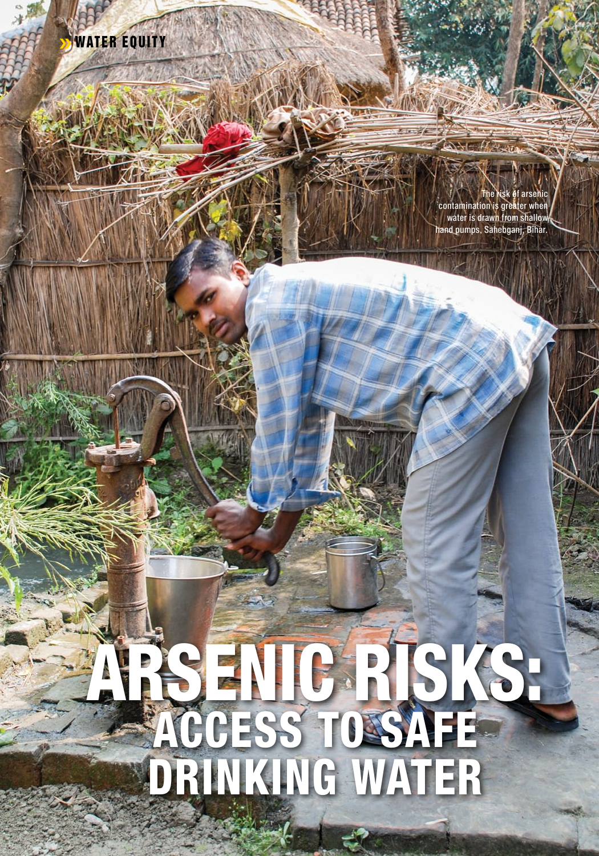

The risk of arsenic<br>contamination is greater when<br>water is drawn from shallow hand pumps, Sahebganj, Bihar.

# **TRS ENIG RISKS!**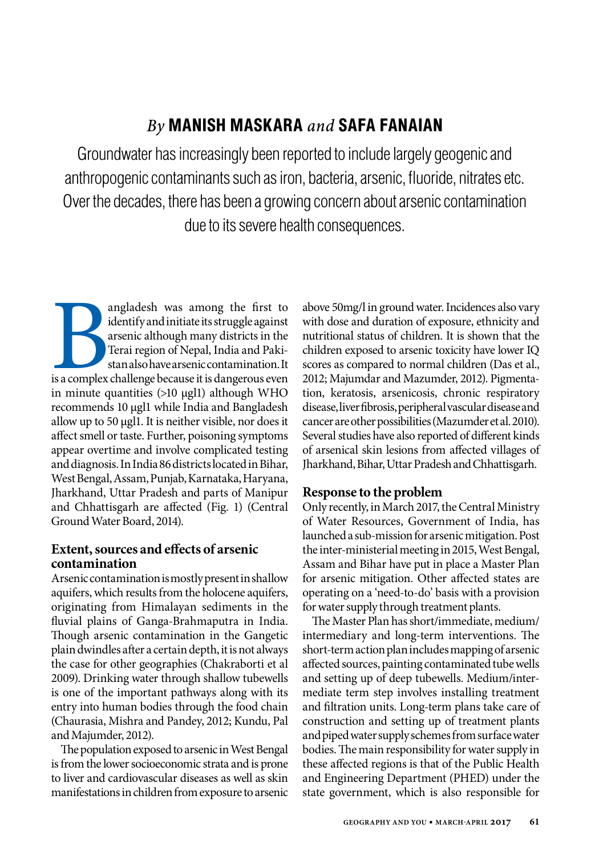# *By* **Manish Maskara** *and* **Safa Fanaian**

Groundwater has increasingly been reported to include largely geogenic and anthropogenic contaminants such as iron, bacteria, arsenic, fluoride, nitrates etc. Over the decades, there has been a growing concern about arsenic contamination due to its severe health consequences.

is a complex angladesh was among the first to identify and initiate its struggle against arsenic although many districts in the Terai region of Nepal, India and Pakistan also have arsenic contamination. It is a complex challenge because it is dangerous even in minute quantities (>10 μgl1) although WHO recommends 10 μgl1 while India and Bangladesh allow up to 50 μgl1. It is neither visible, nor does it affect smell or taste. Further, poisoning symptoms appear overtime and involve complicated testing and diagnosis. In India 86 districts located in Bihar, West Bengal, Assam, Punjab, Karnataka, Haryana, Jharkhand, Uttar Pradesh and parts of Manipur and Chhattisgarh are affected (Fig. 1) (Central Ground Water Board, 2014).

## **Extent, sources and effects of arsenic contamination**

Arsenic contamination is mostly present in shallow aquifers, which results from the holocene aquifers, originating from Himalayan sediments in the fluvial plains of Ganga-Brahmaputra in India. Though arsenic contamination in the Gangetic plain dwindles after a certain depth, it is not always the case for other geographies (Chakraborti et al 2009). Drinking water through shallow tubewells is one of the important pathways along with its entry into human bodies through the food chain (Chaurasia, Mishra and Pandey, 2012; Kundu, Pal and Majumder, 2012).

The population exposed to arsenic in West Bengal is from the lower socioeconomic strata and is prone to liver and cardiovascular diseases as well as skin manifestations in children from exposure to arsenic above 50mg/l in ground water. Incidences also vary with dose and duration of exposure, ethnicity and nutritional status of children. It is shown that the children exposed to arsenic toxicity have lower IQ scores as compared to normal children (Das et al., 2012; Majumdar and Mazumder, 2012). Pigmentation, keratosis, arsenicosis, chronic respiratory disease, liver fibrosis, peripheral vascular disease and cancer are other possibilities (Mazumder et al. 2010). Several studies have also reported of different kinds of arsenical skin lesions from affected villages of Jharkhand, Bihar, Uttar Pradesh and Chhattisgarh.

## **Response to the problem**

Only recently, in March 2017, the Central Ministry of Water Resources, Government of India, has launched a sub-mission for arsenic mitigation. Post the inter-ministerial meeting in 2015, West Bengal, Assam and Bihar have put in place a Master Plan for arsenic mitigation. Other affected states are operating on a 'need-to-do' basis with a provision for water supply through treatment plants.

The Master Plan has short/immediate, medium/ intermediary and long-term interventions. The short-term action plan includes mapping of arsenic affected sources, painting contaminated tube wells and setting up of deep tubewells. Medium/intermediate term step involves installing treatment and filtration units. Long-term plans take care of construction and setting up of treatment plants and piped water supply schemes from surface water bodies. The main responsibility for water supply in these affected regions is that of the Public Health and Engineering Department (PHED) under the state government, which is also responsible for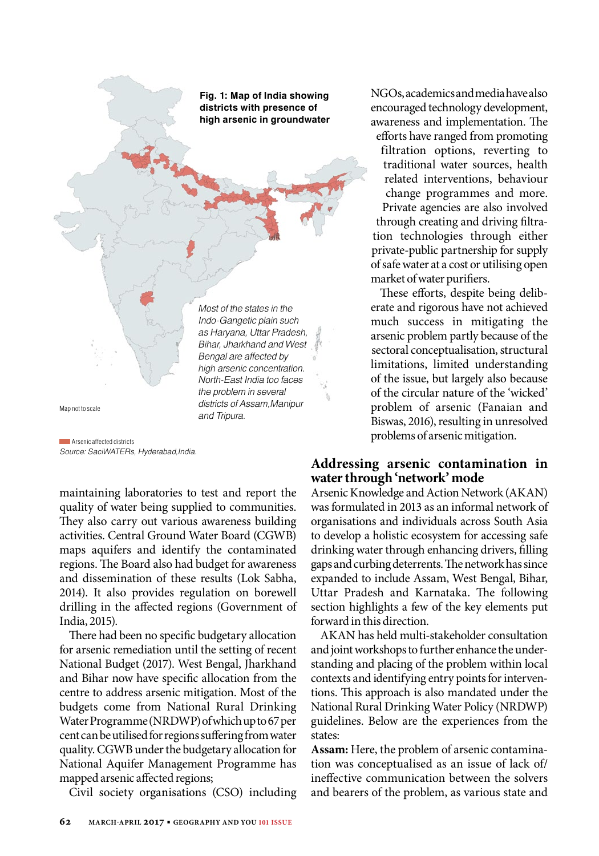**Fig. 1: Map of India showing districts with presence of high arsenic in groundwater**

Most of the states in the Indo-Gangetic plain such as Haryana, Uttar Pradesh, Bihar, Jharkhand and West Bengal are affected by high arsenic concentration. North-East India too faces the problem in several districts of Assam,Manipur and Tripura.

Map not to scale

Source: SaciWATERs, Hyderabad,India. **Arsenic affected districts** 

maintaining laboratories to test and report the quality of water being supplied to communities. They also carry out various awareness building activities. Central Ground Water Board (CGWB) maps aquifers and identify the contaminated regions. The Board also had budget for awareness and dissemination of these results (Lok Sabha, 2014). It also provides regulation on borewell drilling in the affected regions (Government of India, 2015).

There had been no specific budgetary allocation for arsenic remediation until the setting of recent National Budget (2017). West Bengal, Jharkhand and Bihar now have specific allocation from the centre to address arsenic mitigation. Most of the budgets come from National Rural Drinking Water Programme (NRDWP) of which up to 67 per cent can be utilised for regions suffering from water quality. CGWB under the budgetary allocation for National Aquifer Management Programme has mapped arsenic affected regions;

Civil society organisations (CSO) including

NGOs, academics and media have also encouraged technology development, awareness and implementation. The

efforts have ranged from promoting filtration options, reverting to traditional water sources, health related interventions, behaviour change programmes and more. Private agencies are also involved through creating and driving filtration technologies through either private-public partnership for supply of safe water at a cost or utilising open market of water purifiers.

These efforts, despite being deliberate and rigorous have not achieved much success in mitigating the arsenic problem partly because of the sectoral conceptualisation, structural limitations, limited understanding of the issue, but largely also because of the circular nature of the 'wicked' problem of arsenic (Fanaian and Biswas, 2016), resulting in unresolved problems of arsenic mitigation.

### **Addressing arsenic contamination in water through 'network' mode**

Arsenic Knowledge and Action Network (AKAN) was formulated in 2013 as an informal network of organisations and individuals across South Asia to develop a holistic ecosystem for accessing safe drinking water through enhancing drivers, filling gaps and curbing deterrents. The network has since expanded to include Assam, West Bengal, Bihar, Uttar Pradesh and Karnataka. The following section highlights a few of the key elements put forward in this direction.

AKAN has held multi-stakeholder consultation and joint workshops to further enhance the understanding and placing of the problem within local contexts and identifying entry points for interventions. This approach is also mandated under the National Rural Drinking Water Policy (NRDWP) guidelines. Below are the experiences from the states:

**Assam:** Here, the problem of arsenic contamination was conceptualised as an issue of lack of/ ineffective communication between the solvers and bearers of the problem, as various state and